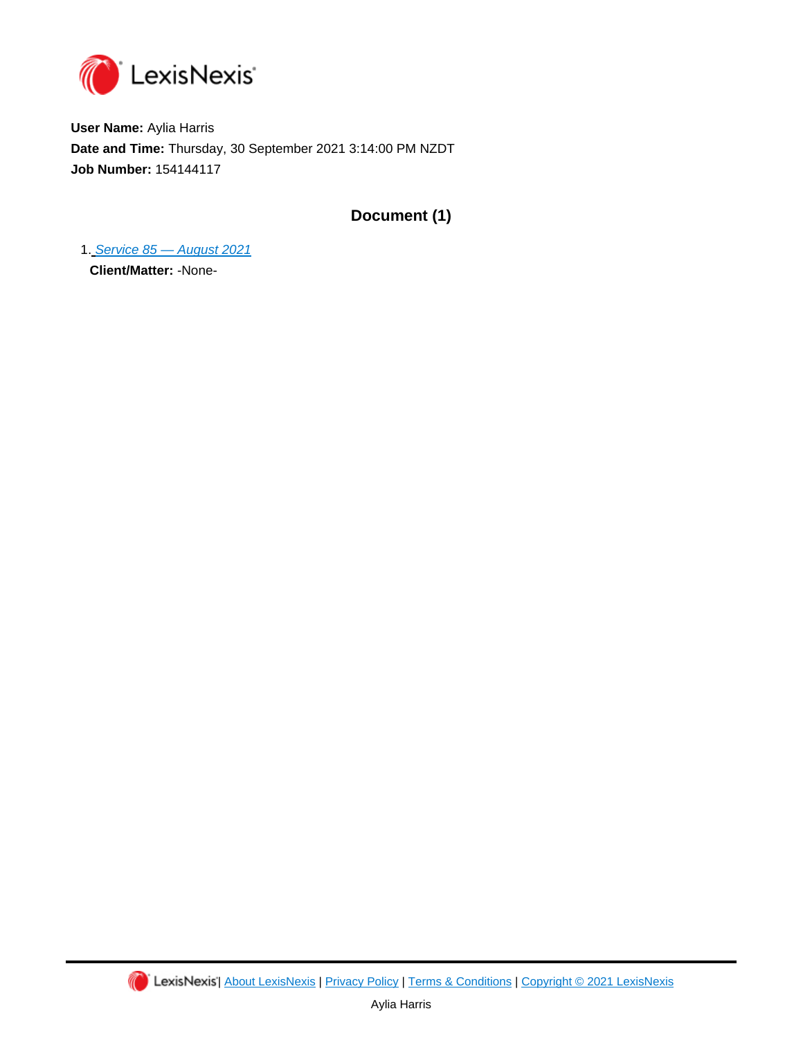

**User Name:** Aylia Harris **Date and Time:** Thursday, 30 September 2021 3:14:00 PM NZDT **Job Number:** 154144117

**Document (1)**

1. [Service 85 — August 2021](https://advance.lexis.com/api/document?id=urn:contentItem:5XHX-FFW1-K054-G1MX-00000-00&idtype=PID&context=1230042) **Client/Matter:** -None-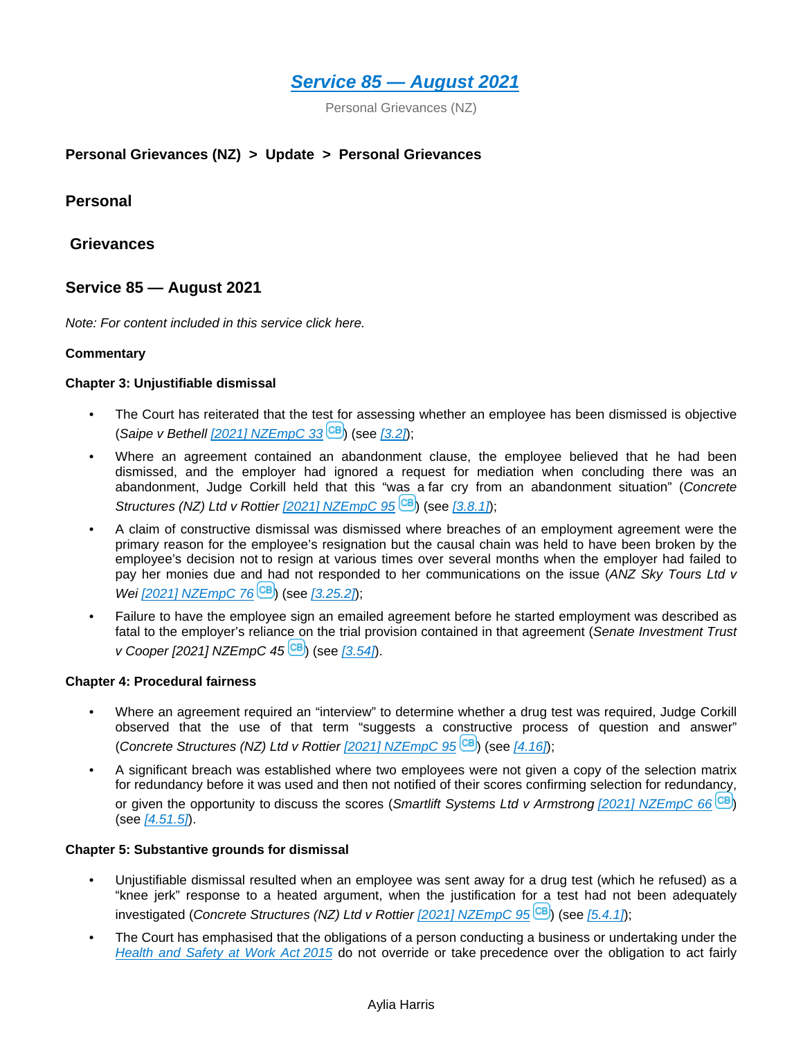

Personal Grievances (NZ)

# **Personal Grievances (NZ) > Update > Personal Grievances**

**Personal** 

 **Grievances**

# **Service 85 — August 2021**

*Note: For content included in this service click here.*

### **Commentary**

#### **Chapter 3: Unjustifiable dismissal**

- The Court has reiterated that the test for assessing whether an employee has been dismissed is objective (*Saipe v Bethell*  $[2021]$  NZEmpC 33<sup>(CB</sup>[\)](https://advance.lexis.com/api/document?collection=cases-nz&id=urn:contentItem:62BJ-FYC1-JSRM-62W2-00000-00&context=1230042) (see  $[3.2]$ );
- Where an agreement contained an abandonment clause, the employee believed that he had been dismissed, and the employer had ignored a request for mediation when concluding there was an abandonment, Judge Corkill held that this "was a far cry from an abandonment situation" (*Concrete Structures (NZ[\)](https://advance.lexis.com/api/document?collection=cases-nz&id=urn:contentItem:6337-2K01-JWXF-200W-00000-00&context=1230042) Ltd v Rottier*  $[2021]$  NZEmpC 95<sup>[CB]</sup> (see [\[3.8.1\]](https://advance.lexis.com/api/document?collection=analytical-materials-nz&id=urn:contentItem:5X62-NY71-FGRY-B077-00000-00&context=1230042));
- A claim of constructive dismissal was dismissed where breaches of an employment agreement were the primary reason for the employee's resignation but the causal chain was held to have been broken by the employee's decision not to resign at various times over several months when the employer had failed to pay her monies due and had not responded to her communications on the issue (*ANZ Sky Tours Ltd v Wei*  $[2021]$  NZEmpC 76<sup>**CB**</sup>)</sub> (see  $[3.25.2]$ );
- Failure to have the employee sign an emailed agreement before he started employment was described as fatal to the employer's reliance on the trial provision contained in that agreement (*Senate Investment Trust v* Cooper *[2021] NZEmpC 45* <sup>(CB)</sup> (see *[\[3.54\]](https://advance.lexis.com/api/document?collection=analytical-materials-nz&id=urn:contentItem:5X62-NY71-FGRY-B076-00000-00&context=1230042)*.

#### **Chapter 4: Procedural fairness**

- Where an agreement required an "interview" to determine whether a drug test was required, Judge Corkill observed that the use of that term "suggests a constructive process of question and answer" (*Concrete Structures (NZ) Ltd v Rottier [\[2021\] NZEmpC 95](https://advance.lexis.com/api/document?collection=cases-nz&id=urn:contentItem:6335-8YP1-JB2B-S04Y-00000-00&context=1230042)* [\)](https://advance.lexis.com/api/document?collection=cases-nz&id=urn:contentItem:6337-2K01-JWXF-200W-00000-00&context=1230042) (see *[\[4.16\]](https://advance.lexis.com/api/document?collection=analytical-materials-nz&id=urn:contentItem:5X7C-4SR1-F016-S219-00000-00&context=1230042)*);
- A significant breach was established where two employees were not given a copy of the selection matrix for redundancy before it was used and then not notified of their scores confirming selection for redundancy, or given the opportunity to discuss the scores (*Smartlift Systems Ltd v Armstrong [\[2021\] NZEmpC 66](https://advance.lexis.com/api/document?collection=cases-nz&id=urn:contentItem:62NS-DV21-F5KY-B33P-00000-00&context=1230042)* [\)](https://advance.lexis.com/api/document?collection=cases-nz&id=urn:contentItem:62PB-73V1-F1WF-M3BR-00000-00&context=1230042) (see *[\[4.51.5\]](https://advance.lexis.com/api/document?collection=analytical-materials-nz&id=urn:contentItem:5X7C-4SR1-F016-S21H-00000-00&context=1230042)*).

#### **Chapter 5: Substantive grounds for dismissal**

- Unjustifiable dismissal resulted when an employee was sent away for a drug test (which he refused) as a "knee jerk" response to a heated argument, when the justification for a test had not been adequately investigated (*Concrete Structures (NZ) Ltd v Rottier [\[2021\] NZEmpC 95](https://advance.lexis.com/api/document?collection=cases-nz&id=urn:contentItem:6335-8YP1-JB2B-S04Y-00000-00&context=1230042)* [\)](https://advance.lexis.com/api/document?collection=cases-nz&id=urn:contentItem:6337-2K01-JWXF-200W-00000-00&context=1230042) (see *[\[5.4.1\]](https://advance.lexis.com/api/document?collection=analytical-materials-nz&id=urn:contentItem:5XNS-BC21-FCYK-216P-00000-00&context=1230042)*);
- The Court has emphasised that the obligations of a person conducting a business or undertaking under the *[Health and Safety at Work Act 2015](https://advance.lexis.com/api/document?collection=analytical-materials-nz&id=urn:contentItem:5H9J-2N61-JJ6S-62S7-00000-00&context=1230042)* do not override or take precedence over the obligation to act fairly